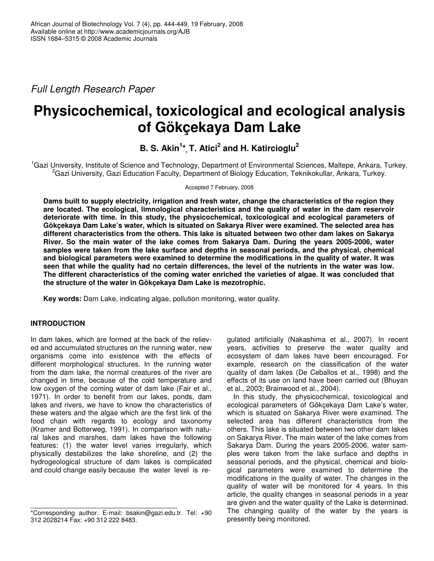*Full Length Research Paper*

# **Physicochemical, toxicological and ecological analysis of Gökçekaya Dam Lake**

**B. S. Akin 1 \*, T. Atici 2 and H. Katircioglu 2**

<sup>1</sup>Gazi University, Institute of Science and Technology, Department of Environmental Sciences, Maltepe, Ankara, Turkey. <sup>2</sup>Gazi University, Gazi Education Faculty, Department of Biology Education, Teknikokullar, Ankara, Turkey.

Accepted 7 February, 2008

**Dams built to supply electricity, irrigation and fresh water, change the characteristics of the region they are located. The ecological, limnological characteristics and the quality of water in the dam reservoir deteriorate with time. In this study, the physicochemical, toxicological and ecological parameters of Gökçekaya Dam Lake's water, which is situated on Sakarya River were examined. The selected area has different characteristics from the others. This lake is situated between two other dam lakes on Sakarya River. So the main water of the lake comes from Sakarya Dam. During the years 2005-2006, water samples were taken from the lake surface and depths in seasonal periods, and the physical, chemical and biological parameters were examined to determine the modifications in the quality of water. It was** seen that while the quality had no certain differences, the level of the nutrients in the water was low. **The different characteristics of the coming water enriched the varieties of algae. It was concluded that the structure of the water in Gökçekaya Dam Lake is mezotrophic.**

**Key words:** Dam Lake, indicating algae, pollution monitoring, water quality.

# **INTRODUCTION**

In dam lakes, which are formed at the back of the relieved and accumulated structures on the running water, new organisms come into existence with the effects of different morphological structures. In the running water from the dam lake, the normal creatures of the river are changed in time, because of the cold temperature and low oxygen of the coming water of dam lake (Fair et al., 1971). In order to benefit from our lakes, ponds, dam lakes and rivers, we have to know the characteristics of these waters and the algae which are the first link of the food chain with regards to ecology and taxonomy (Kramer and Botterweg, 1991). In comparison with natural lakes and marshes, dam lakes have the following features: (1) the water level varies irregularly, which physically destabilizes the lake shoreline, and (2) the hydrogeological structure of dam lakes is complicated and could change easily because the water level is re-

gulated artificially (Nakashima et al*.*, 2007). In recent years, activities to preserve the water quality and ecosystem of dam lakes have been encouraged. For example, research on the classification of the water quality of dam lakes (De Ceballos et al., 1998) and the effects of its use on land have been carried out (Bhuyan et al., 2003; Brainwood et al., 2004).

In this study, the physicochemical, toxicological and ecological parameters of Gökçekaya Dam Lake's water, which is situated on Sakarya River were examined. The selected area has different characteristics from the others. This lake is situated between two other dam lakes on Sakarya River. The main water of the lake comes from Sakarya Dam. During the years 2005-2006, water samples were taken from the lake surface and depths in seasonal periods, and the physical, chemical and biological parameters were examined to determine the modifications in the quality of water. The changes in the quality of water will be monitored for 4 years. In this article, the quality changes in seasonal periods in a year are given and the water quality of the Lake is determined. The changing quality of the water by the years is presently being monitored.

<sup>\*</sup>Corresponding author. E-mail: bsakin@gazi.edu.tr. Tel: +90 312 2028214 Fax: +90 312 222 8483.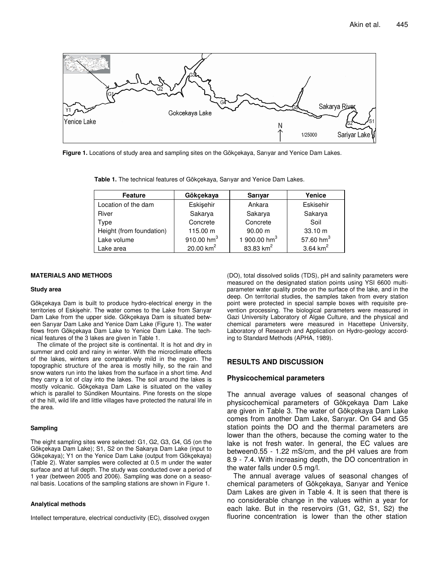

**Figure 1.** Locations of study area and sampling sites on the Gökçekaya, Sarıyar and Yenice Dam Lakes.

**Table 1.** The technical features of Gökçekaya, Sarıyar and Yenice Dam Lakes.

| <b>Feature</b>           | Gökçekaya            | Sarıyar                  | Yenice              |  |
|--------------------------|----------------------|--------------------------|---------------------|--|
| Location of the dam      | Eskişehir            | Ankara                   | Eskisehir           |  |
| River                    | Sakarya              | Sakarya                  | Sakarya             |  |
| Type                     | Concrete             | Concrete                 | Soil                |  |
| Height (from foundation) | 115.00 m             | 90.00 m                  | 33.10 m             |  |
| Lake volume              | 910.00 $\text{hm}^3$ | 1 900.00 hm <sup>3</sup> | 57.60 $\text{hm}^3$ |  |
| Lake area                | 20.00 $km^2$         | 83.83 $km^2$             | 3.64 $km^2$         |  |

## **MATERIALS AND METHODS**

#### **Study area**

Gökçekaya Dam is built to produce hydro-electrical energy in the territories of Eskişehir. The water comes to the Lake from Sarıyar Dam Lake from the upper side. Gökçekaya Dam is situated between Sarıyar Dam Lake and Yenice Dam Lake (Figure 1). The water flows from Gökçekaya Dam Lake to Yenice Dam Lake. The technical features of the 3 lakes are given in Table 1.

The climate of the project site is continental. It is hot and dry in summer and cold and rainy in winter. With the microclimate effects of the lakes, winters are comparatively mild in the region. The topographic structure of the area is mostly hilly, so the rain and snow waters run into the lakes from the surface in a short time. And they carry a lot of clay into the lakes. The soil around the lakes is mostly volcanic. Gökçekaya Dam Lake is situated on the valley which is parallel to Sündiken Mountains. Pine forests on the slope of the hill, wild life and little villages have protected the natural life in the area.

### **Sampling**

The eight sampling sites were selected: G1, G2, G3, G4, G5 (on the Gökçekaya Dam Lake); S1, S2 on the Sakarya Dam Lake (input to Gökçekaya); Y1 on the Yenice Dam Lake (output from Gökçekaya) (Table 2). Water samples were collected at 0.5 m under the water surface and at full depth. The study was conducted over a period of 1 year (between 2005 and 2006). Sampling was done on a seasonal basis. Locations of the sampling stations are shown in Figure 1.

## **Analytical methods**

Intellect temperature, electrical conductivity (EC), dissolved oxygen

(DO), total dissolved solids (TDS), pH and salinity parameters were measured on the designated station points using YSI 6600 multiparameter water quality probe on the surface of the lake, and in the deep. On territorial studies, the samples taken from every station point were protected in special sample boxes with requisite prevention processing. The biological parameters were measured in Gazi University Laboratory of Algae Culture, and the physical and chemical parameters were measured in Hacettepe University, Laboratory of Research and Application on Hydro-geology according to Standard Methods (APHA, 1989).

## **RESULTS AND DISCUSSION**

## **Physicochemical parameters**

The annual average values of seasonal changes of physicochemical parameters of Gökçekaya Dam Lake are given in Table 3. The water of Gökçekaya Dam Lake comes from another Dam Lake, Sarıyar. On G4 and G5 station points the DO and the thermal parameters are lower than the others, because the coming water to the lake is not fresh water. In general, the EC values are between0.55 - 1.22 mS/cm, and the pH values are from 8.9 - 7.4. With increasing depth, the DO concentration in the water falls under 0.5 mg/l.

The annual average values of seasonal changes of chemical parameters of Gökçekaya, Sarıyar and Yenice Dam Lakes are given in Table 4. It is seen that there is no considerable change in the values within a year for each lake. But in the reservoirs (G1, G2, S1, S2) the fluorine concentration is lower than the other station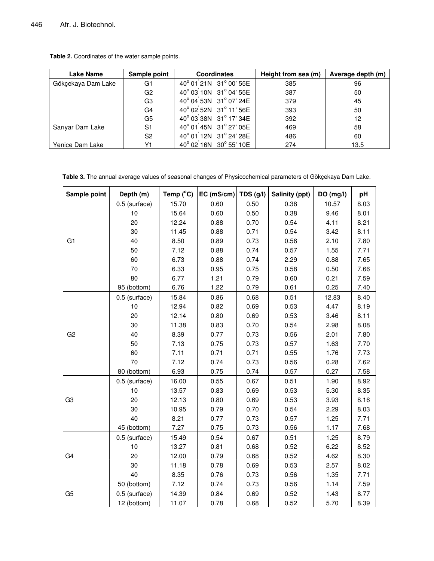**Table 2.** Coordinates of the water sample points.

| <b>Lake Name</b>   | Sample point   | <b>Coordinates</b>                  | Height from sea (m) | Average depth (m) |
|--------------------|----------------|-------------------------------------|---------------------|-------------------|
| Gökçekaya Dam Lake | G1             | 40° 01 21N 31° 00' 55E              | 385                 | 96                |
|                    | G <sub>2</sub> | 40° 03 10N 31° 04' 55E              | 387                 | 50                |
|                    | G <sub>3</sub> | 40° 04 53N 31° 07' 24E              | 379                 | 45                |
|                    | G4             | 40° 02 52N 31° 11' 56E              | 393                 | 50                |
|                    | G5             | 40° 03 38N 31° 17' 34E              | 392                 | 12                |
| Sarıyar Dam Lake   | S <sub>1</sub> | 40° 01 <sup>'</sup> 45N 31° 27' 05E | 469                 | 58                |
|                    | S <sub>2</sub> | 40° 01 <sup>'</sup> 12N 31° 24' 28E | 486                 | 60                |
| Yenice Dam Lake    | Υ1             | 40° 02 16N 30° 55' 10E              | 274                 | 13.5              |

**Table 3.** The annual average values of seasonal changes of Physicochemical parameters of Gökçekaya Dam Lake.

| Sample point   | Depth (m)     | Temp $(^{\circ}C)$ | EC (mS/cm) | TDS $(g/l)$ | Salinity (ppt) | DO (mg/l) | pH   |
|----------------|---------------|--------------------|------------|-------------|----------------|-----------|------|
|                | 0.5 (surface) | 15.70              | 0.60       | 0.50        | 0.38           | 10.57     | 8.03 |
|                | 10            | 15.64              | 0.60       | 0.50        | 0.38           | 9.46      | 8.01 |
|                | 20            | 12.24              | 0.88       | 0.70        | 0.54           | 4.11      | 8.21 |
|                | 30            | 11.45              | 0.88       | 0.71        | 0.54           | 3.42      | 8.11 |
| G <sub>1</sub> | 40            | 8.50               | 0.89       | 0.73        | 0.56           | 2.10      | 7.80 |
|                | 50            | 7.12               | 0.88       | 0.74        | 0.57           | 1.55      | 7.71 |
|                | 60            | 6.73               | 0.88       | 0.74        | 2.29           | 0.88      | 7.65 |
|                | 70            | 6.33               | 0.95       | 0.75        | 0.58           | 0.50      | 7.66 |
|                | 80            | 6.77               | 1.21       | 0.79        | 0.60           | 0.21      | 7.59 |
|                | 95 (bottom)   | 6.76               | 1.22       | 0.79        | 0.61           | 0.25      | 7.40 |
|                | 0.5 (surface) | 15.84              | 0.86       | 0.68        | 0.51           | 12.83     | 8.40 |
|                | 10            | 12.94              | 0.82       | 0.69        | 0.53           | 4.47      | 8.19 |
|                | 20            | 12.14              | 0.80       | 0.69        | 0.53           | 3.46      | 8.11 |
|                | 30            | 11.38              | 0.83       | 0.70        | 0.54           | 2.98      | 8.08 |
| G <sub>2</sub> | 40            | 8.39               | 0.77       | 0.73        | 0.56           | 2.01      | 7.80 |
|                | 50            | 7.13               | 0.75       | 0.73        | 0.57           | 1.63      | 7.70 |
|                | 60            | 7.11               | 0.71       | 0.71        | 0.55           | 1.76      | 7.73 |
|                | 70            | 7.12               | 0.74       | 0.73        | 0.56           | 0.28      | 7.62 |
|                | 80 (bottom)   | 6.93               | 0.75       | 0.74        | 0.57           | 0.27      | 7.58 |
|                | 0.5 (surface) | 16.00              | 0.55       | 0.67        | 0.51           | 1.90      | 8.92 |
|                | 10            | 13.57              | 0.83       | 0.69        | 0.53           | 5.30      | 8.35 |
| G <sub>3</sub> | 20            | 12.13              | 0.80       | 0.69        | 0.53           | 3.93      | 8.16 |
|                | 30            | 10.95              | 0.79       | 0.70        | 0.54           | 2.29      | 8.03 |
|                | 40            | 8.21               | 0.77       | 0.73        | 0.57           | 1.25      | 7.71 |
|                | 45 (bottom)   | 7.27               | 0.75       | 0.73        | 0.56           | 1.17      | 7.68 |
|                | 0.5 (surface) | 15.49              | 0.54       | 0.67        | 0.51           | 1.25      | 8.79 |
|                | 10            | 13.27              | 0.81       | 0.68        | 0.52           | 6.22      | 8.52 |
| G4             | 20            | 12.00              | 0.79       | 0.68        | 0.52           | 4.62      | 8.30 |
|                | 30            | 11.18              | 0.78       | 0.69        | 0.53           | 2.57      | 8.02 |
|                | 40            | 8.35               | 0.76       | 0.73        | 0.56           | 1.35      | 7.71 |
|                | 50 (bottom)   | 7.12               | 0.74       | 0.73        | 0.56           | 1.14      | 7.59 |
| G <sub>5</sub> | 0.5 (surface) | 14.39              | 0.84       | 0.69        | 0.52           | 1.43      | 8.77 |
|                | 12 (bottom)   | 11.07              | 0.78       | 0.68        | 0.52           | 5.70      | 8.39 |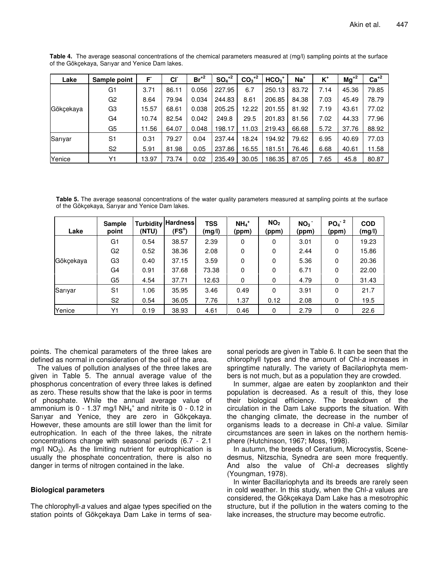| Lake      | Sample point   | F     | CI <sup>-</sup> | $Br^{+2}$ | $SO4+2$ | $CO3+2$ | $HCO3+$ | $Na+$ | $K^+$ | $Mg^{2}$ | $Ca+2$ |
|-----------|----------------|-------|-----------------|-----------|---------|---------|---------|-------|-------|----------|--------|
| Gökçekaya | G1             | 3.71  | 86.11           | 0.056     | 227.95  | 6.7     | 250.13  | 83.72 | 7.14  | 45.36    | 79.85  |
|           | G <sub>2</sub> | 8.64  | 79.94           | 0.034     | 244.83  | 8.61    | 206.85  | 84.38 | 7.03  | 45.49    | 78.79  |
|           | G3             | 5.57  | 68.61           | 0.038     | 205.25  | 12.22   | 201.55  | 81.92 | 7.19  | 43.61    | 77.02  |
|           | G4             | 10.74 | 82.54           | 0.042     | 249.8   | 29.5    | 201.83  | 81.56 | 7.02  | 44.33    | 77.96  |
|           | G5             | 1.56  | 64.07           | 0.048     | 198.17  | 11.03   | 219.43  | 66.68 | 5.72  | 37.76    | 88.92  |
| Sarıyar   | S <sub>1</sub> | 0.31  | 79.27           | 0.04      | 237.44  | 18.24   | 194.92  | 79.62 | 6.95  | 40.69    | 77.03  |
|           | S <sub>2</sub> | 5.91  | 81.98           | 0.05      | 237.86  | 16.55   | 181.51  | 76.46 | 6.68  | 40.61    | 11.58  |
| Yenice    | Υ1             | 3.97  | 73.74           | 0.02      | 235.49  | 30.05   | 186.35  | 87.05 | 7.65  | 45.8     | 80.87  |

**Table 4.** The average seasonal concentrations of the chemical parameters measured at (mg/l) sampling points at the surface of the Gökçekaya, Sarıyar and Yenice Dam lakes.

**Table 5.** The average seasonal concentrations of the water quality parameters measured at sampling points at the surface of the Gökçekaya, Sarıyar and Yenice Dam lakes.

| Lake      | <b>Sample</b><br>point | <b>Turbidity</b><br>(NTU) | <b>Hardness</b><br>$(FS^o)$ | <b>TSS</b><br>(mg/l) | $NH4+$<br>(ppm) | NO <sub>2</sub><br>(ppm) | NO <sub>3</sub><br>(ppm) | $PO4-2$<br>(ppm) | <b>COD</b><br>(mg/l) |
|-----------|------------------------|---------------------------|-----------------------------|----------------------|-----------------|--------------------------|--------------------------|------------------|----------------------|
|           | G <sub>1</sub>         | 0.54                      | 38.57                       | 2.39                 | 0               | 0                        | 3.01                     | 0                | 19.23                |
|           | G <sub>2</sub>         | 0.52                      | 38.36                       | 2.08                 | 0               | 0                        | 2.44                     | 0                | 15.86                |
| Gökçekaya | G3                     | 0.40                      | 37.15                       | 3.59                 | 0               | $\Omega$                 | 5.36                     | 0                | 20.36                |
|           | G4                     | 0.91                      | 37.68                       | 73.38                | 0               | 0                        | 6.71                     | 0                | 22.00                |
|           | G5                     | 4.54                      | 37.71                       | 12.63                | 0               | 0                        | 4.79                     | 0                | 31.43                |
| Sarıyar   | S <sub>1</sub>         | 1.06                      | 35.95                       | 3.46                 | 0.49            | $\Omega$                 | 3.91                     | 0                | 21.7                 |
|           | S <sub>2</sub>         | 0.54                      | 36.05                       | 7.76                 | 1.37            | 0.12                     | 2.08                     | 0                | 19.5                 |
| Yenice    | Y1                     | 0.19                      | 38.93                       | 4.61                 | 0.46            | 0                        | 2.79                     | 0                | 22.6                 |

points. The chemical parameters of the three lakes are defined as normal in consideration of the soil of the area.

The values of pollution analyses of the three lakes are given in Table 5. The annual average value of the phosphorus concentration of every three lakes is defined as zero. These results show that the lake is poor in terms of phosphate. While the annual average value of ammonium is 0 - 1.37 mg/l NH $_4^+$  and nitrite is 0 - 0.12 in Sarıyar and Yenice, they are zero in Gökçekaya. However, these amounts are still lower than the limit for eutrophication. In each of the three lakes, the nitrate concentrations change with seasonal periods (6.7 - 2.1 mg/l  $NO<sub>3</sub>$ ). As the limiting nutrient for eutrophication is usually the phosphate concentration, there is also no danger in terms of nitrogen contained in the lake.

# **Biological parameters**

The chlorophyll-*a* values and algae types specified on the station points of Gökçekaya Dam Lake in terms of seasonal periods are given in Table 6. It can be seen that the chlorophyll types and the amount of Chl-*a* increases in springtime naturally. The variety of Bacilariophyta members is not much, but as a population they are crowded.

In summer, algae are eaten by zooplankton and their population is decreased. As a result of this, they lose their biological efficiency. The breakdown of the circulation in the Dam Lake supports the situation. With the changing climate, the decrease in the number of organisms leads to a decrease in Chl-*a* value. Similar circumstances are seen in lakes on the northern hemisphere (Hutchinson, 1967; Moss, 1998).

In autumn, the breeds of Ceratium, Microcystis, Scenedesmus, Nitzschia, Synedra are seen more frequently. And also the value of Chl-*a* decreases slightly (Youngman, 1978).

In winter Bacillariophyta and its breeds are rarely seen in cold weather. In this study, when the Chl-*a* values are considered, the Gökçekaya Dam Lake has a mesotrophic structure, but if the pollution in the waters coming to the lake increases, the structure may become eutrofic.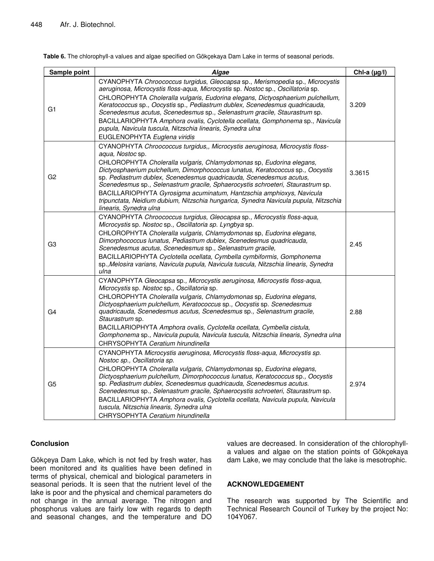| Sample point   | Algae                                                                                                                                                                                                                                                                                                                                                                                                                                                                                                                                                                                                          | Chl-a $(\mu g/I)$ |
|----------------|----------------------------------------------------------------------------------------------------------------------------------------------------------------------------------------------------------------------------------------------------------------------------------------------------------------------------------------------------------------------------------------------------------------------------------------------------------------------------------------------------------------------------------------------------------------------------------------------------------------|-------------------|
| G1             | CYANOPHYTA Chroococcus turgidus, Gleocapsa sp., Merismopedia sp., Microcystis<br>aeruginosa, Microcystis floss-aqua, Microcystis sp. Nostoc sp., Oscillatoria sp.<br>CHLOROPHYTA Choleralla vulgaris, Eudorina elegans, Dictyosphaerium pulchellum,<br>Keratococcus sp., Oocystis sp., Pediastrum dublex, Scenedesmus quadricauda,<br>Scenedesmus acutus, Scenedesmus sp., Selenastrum gracile, Staurastrum sp.<br>BACILLARIOPHYTA Amphora ovalis, Cyclotella ocellata, Gomphonema sp., Navicula<br>pupula, Navicula tuscula, Nitzschia linearis, Synedra ulna<br>EUGLENOPHYTA Euglena viridis                 | 3.209             |
| G2             | CYANOPHYTA Chroococcus turgidus,, Microcystis aeruginosa, Microcystis floss-<br>aqua, Nostoc sp.<br>CHLOROPHYTA Choleralla vulgaris, Chlamydomonas sp, Eudorina elegans,<br>Dictyosphaerium pulchellum, Dimorphococcus lunatus, Keratococcus sp., Oocystis<br>sp. Pediastrum dublex, Scenedesmus quadricauda, Scenedesmus acutus,<br>Scenedesmus sp., Selenastrum gracile, Sphaerocystis schroeteri, Staurastrum sp.<br>BACILLARIOPHYTA Gyrosigma acuminatum, Hantzschia amphioxys, Navicula<br>tripunctata, Neidium dubium, Nitzschia hungarica, Synedra Navicula pupula, Nitzschia<br>linearis, Synedra ulna | 3.3615            |
| G <sub>3</sub> | CYANOPHYTA Chroococcus turgidus, Gleocapsa sp., Microcystis floss-aqua,<br>Microcystis sp. Nostoc sp., Oscillatoria sp. Lyngbya sp.<br>CHLOROPHYTA Choleralla vulgaris, Chlamydomonas sp, Eudorina elegans,<br>Dimorphococcus lunatus, Pediastrum dublex, Scenedesmus quadricauda,<br>Scenedesmus acutus, Scenedesmus sp., Selenastrum gracile,<br>BACILLARIOPHYTA Cyclotella ocellata, Cymbella cymbiformis, Gomphonema<br>sp., Melosira varians, Navicula pupula, Navicula tuscula, Nitzschia linearis, Synedra<br>ulna                                                                                      | 2.45              |
| G <sub>4</sub> | CYANOPHYTA Gleocapsa sp., Microcystis aeruginosa, Microcystis floss-aqua,<br>Microcystis sp. Nostoc sp., Oscillatoria sp.<br>CHLOROPHYTA Choleralla vulgaris, Chlamydomonas sp, Eudorina elegans,<br>Dictyosphaerium pulchellum, Keratococcus sp., Oocystis sp. Scenedesmus<br>quadricauda, Scenedesmus acutus, Scenedesmus sp., Selenastrum gracile,<br>Staurastrum sp.<br>BACILLARIOPHYTA Amphora ovalis, Cyclotella ocellata, Cymbella cistula,<br>Gomphonema sp., Navicula pupula, Navicula tuscula, Nitzschia linearis, Synedra ulna<br>CHRYSOPHYTA Ceratium hirundinella                                 | 2.88              |
| G5             | CYANOPHYTA Microcystis aeruginosa, Microcystis floss-aqua, Microcystis sp.<br>Nostoc sp., Oscillatoria sp.<br>CHLOROPHYTA Choleralla vulgaris, Chlamydomonas sp, Eudorina elegans,<br>Dictyosphaerium pulchellum, Dimorphococcus Iunatus, Keratococcus sp., Oocystis<br>sp. Pediastrum dublex, Scenedesmus quadricauda, Scenedesmus acutus.<br>Scenedesmus sp., Selenastrum gracile, Sphaerocystis schroeteri, Staurastrum sp.<br>BACILLARIOPHYTA Amphora ovalis, Cyclotella ocellata, Navicula pupula, Navicula<br>tuscula, Nitzschia linearis, Synedra ulna<br>CHRYSOPHYTA Ceratium hirundinella             | 2.974             |

**Table 6.** The chlorophyll-a values and algae specified on Gökçekaya Dam Lake in terms of seasonal periods.

# **Conclusion**

Gökçeya Dam Lake, which is not fed by fresh water, has been monitored and its qualities have been defined in terms of physical, chemical and biological parameters in seasonal periods. It is seen that the nutrient level of the lake is poor and the physical and chemical parameters do not change in the annual average. The nitrogen and phosphorus values are fairly low with regards to depth and seasonal changes, and the temperature and DO

values are decreased. In consideration of the chlorophylla values and algae on the station points of Gökçekaya dam Lake, we may conclude that the lake is mesotrophic.

# **ACKNOWLEDGEMENT**

The research was supported by The Scientific and Technical Research Council of Turkey by the project No: 104Y067.